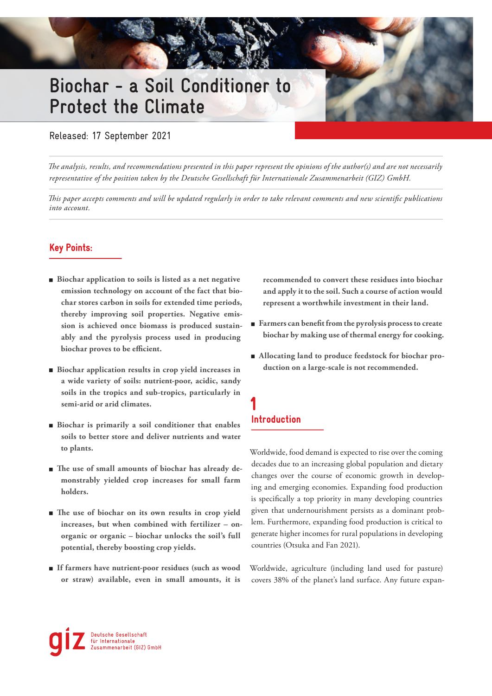# **Biochar - a Soil Conditioner to Protect the Climate**

Released: 17 September 2021

*The analysis, results, and recommendations presented in this paper represent the opinions of the author(s) and are not necessarily representative of the position taken by the Deutsche Gesellschaft für Internationale Zusammenarbeit (GIZ) GmbH.*

*This paper accepts comments and will be updated regularly in order to take relevant comments and new scientific publications into account.*

### Key Points:

- **Biochar application to soils is listed as a net negative emission technology on account of the fact that biochar stores carbon in soils for extended time periods, thereby improving soil properties. Negative emission is achieved once biomass is produced sustainably and the pyrolysis process used in producing biochar proves to be efficient.**
- **Biochar application results in crop yield increases in a wide variety of soils: nutrient-poor, acidic, sandy soils in the tropics and sub-tropics, particularly in semi-arid or arid climates.**
- **Biochar is primarily a soil conditioner that enables soils to better store and deliver nutrients and water to plants.**
- **The use of small amounts of biochar has already demonstrably yielded crop increases for small farm holders.**
- **The use of biochar on its own results in crop yield increases, but when combined with fertilizer – onorganic or organic – biochar unlocks the soil's full potential, thereby boosting crop yields.**
- **If farmers have nutrient-poor residues (such as wood or straw) available, even in small amounts, it is**

**recommended to convert these residues into biochar and apply it to the soil. Such a course of action would represent a worthwhile investment in their land.** 

- **Farmers can benefit from the pyrolysis process to create biochar by making use of thermal energy for cooking.**
- **Allocating land to produce feedstock for biochar production on a large-scale is not recommended.**

### 1 Introduction

Worldwide, food demand is expected to rise over the coming decades due to an increasing global population and dietary changes over the course of economic growth in developing and emerging economies. Expanding food production is specifically a top priority in many developing countries given that undernourishment persists as a dominant problem. Furthermore, expanding food production is critical to generate higher incomes for rural populations in developing countries (Otsuka and Fan 2021).

Worldwide, agriculture (including land used for pasture) covers 38% of the planet's land surface. Any future expan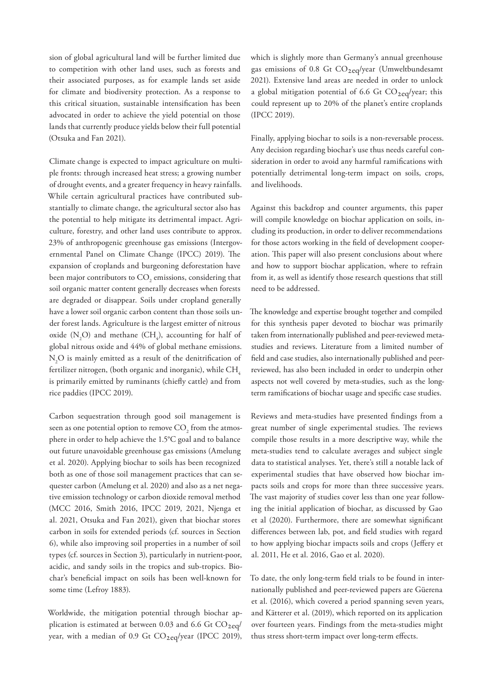sion of global agricultural land will be further limited due to competition with other land uses, such as forests and their associated purposes, as for example lands set aside for climate and biodiversity protection. As a response to this critical situation, sustainable intensification has been advocated in order to achieve the yield potential on those lands that currently produce yields below their full potential (Otsuka and Fan 2021).

Climate change is expected to impact agriculture on multiple fronts: through increased heat stress; a growing number of drought events, and a greater frequency in heavy rainfalls. While certain agricultural practices have contributed substantially to climate change, the agricultural sector also has the potential to help mitigate its detrimental impact. Agriculture, forestry, and other land uses contribute to approx. 23% of anthropogenic greenhouse gas emissions (Intergovernmental Panel on Climate Change (IPCC) 2019). The expansion of croplands and burgeoning deforestation have been major contributors to  $\mathrm{CO}_2$  emissions, considering that soil organic matter content generally decreases when forests are degraded or disappear. Soils under cropland generally have a lower soil organic carbon content than those soils under forest lands. Agriculture is the largest emitter of nitrous oxide  $(N_2O)$  and methane  $(CH_4)$ , accounting for half of global nitrous oxide and 44% of global methane emissions.  $\rm N_2O$  is mainly emitted as a result of the denitrification of fertilizer nitrogen, (both organic and inorganic), while  $CH<sub>4</sub>$ is primarily emitted by ruminants (chiefly cattle) and from rice paddies (IPCC 2019).

Carbon sequestration through good soil management is seen as one potential option to remove  $\mathrm{CO}_2^{}$  from the atmosphere in order to help achieve the 1.5°C goal and to balance out future unavoidable greenhouse gas emissions (Amelung et al. 2020). Applying biochar to soils has been recognized both as one of those soil management practices that can sequester carbon (Amelung et al. 2020) and also as a net negative emission technology or carbon dioxide removal method (MCC 2016, Smith 2016, IPCC 2019, 2021, Njenga et al. 2021, Otsuka and Fan 2021), given that biochar stores carbon in soils for extended periods (cf. sources in Section 6), while also improving soil properties in a number of soil types (cf. sources in Section 3), particularly in nutrient-poor, acidic, and sandy soils in the tropics and sub-tropics. Biochar's beneficial impact on soils has been well-known for some time (Lefroy 1883).

Worldwide, the mitigation potential through biochar application is estimated at between 0.03 and 6.6 Gt  $CO_{2eq}/$ year, with a median of 0.9 Gt  $CO_{2eq}/year$  (IPCC 2019),

which is slightly more than Germany's annual greenhouse gas emissions of 0.8 Gt  $CO_{2eq}/year$  (Umweltbundesamt 2021). Extensive land areas are needed in order to unlock a global mitigation potential of 6.6 Gt  $CO_{2eq}/year$ ; this could represent up to 20% of the planet's entire croplands (IPCC 2019).

Finally, applying biochar to soils is a non-reversable process. Any decision regarding biochar's use thus needs careful consideration in order to avoid any harmful ramifications with potentially detrimental long-term impact on soils, crops, and livelihoods.

Against this backdrop and counter arguments, this paper will compile knowledge on biochar application on soils, including its production, in order to deliver recommendations for those actors working in the field of development cooperation. This paper will also present conclusions about where and how to support biochar application, where to refrain from it, as well as identify those research questions that still need to be addressed.

The knowledge and expertise brought together and compiled for this synthesis paper devoted to biochar was primarily taken from internationally published and peer-reviewed metastudies and reviews. Literature from a limited number of field and case studies, also internationally published and peerreviewed, has also been included in order to underpin other aspects not well covered by meta-studies, such as the longterm ramifications of biochar usage and specific case studies.

Reviews and meta-studies have presented findings from a great number of single experimental studies. The reviews compile those results in a more descriptive way, while the meta-studies tend to calculate averages and subject single data to statistical analyses. Yet, there's still a notable lack of experimental studies that have observed how biochar impacts soils and crops for more than three successive years. The vast majority of studies cover less than one year following the initial application of biochar, as discussed by Gao et al (2020). Furthermore, there are somewhat significant differences between lab, pot, and field studies with regard to how applying biochar impacts soils and crops (Jeffery et al. 2011, He et al. 2016, Gao et al. 2020).

To date, the only long-term field trials to be found in internationally published and peer-reviewed papers are Güerena et al. (2016), which covered a period spanning seven years, and Kätterer et al. (2019), which reported on its application over fourteen years. Findings from the meta-studies might thus stress short-term impact over long-term effects.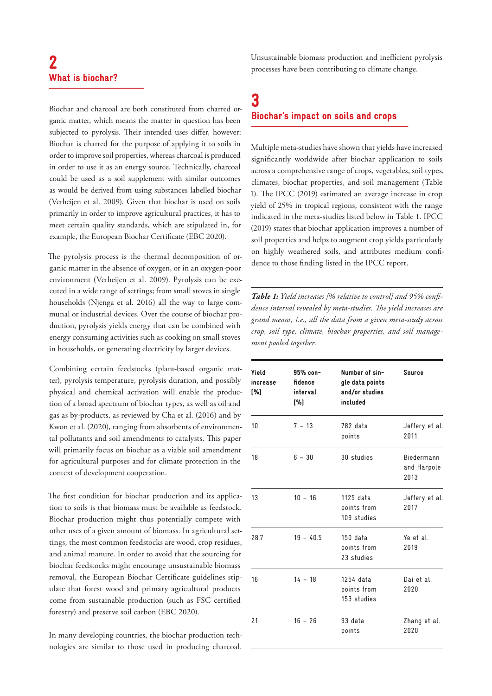# 2 What is biochar?

Biochar and charcoal are both constituted from charred organic matter, which means the matter in question has been subjected to pyrolysis. Their intended uses differ, however: Biochar is charred for the purpose of applying it to soils in order to improve soil properties, whereas charcoal is produced in order to use it as an energy source. Technically, charcoal could be used as a soil supplement with similar outcomes as would be derived from using substances labelled biochar (Verheijen et al. 2009). Given that biochar is used on soils primarily in order to improve agricultural practices, it has to meet certain quality standards, which are stipulated in, for example, the European Biochar Certificate (EBC 2020).

The pyrolysis process is the thermal decomposition of organic matter in the absence of oxygen, or in an oxygen-poor environment (Verheijen et al. 2009). Pyrolysis can be executed in a wide range of settings; from small stoves in single households (Njenga et al. 2016) all the way to large communal or industrial devices. Over the course of biochar production, pyrolysis yields energy that can be combined with energy consuming activities such as cooking on small stoves in households, or generating electricity by larger devices.

Combining certain feedstocks (plant-based organic matter), pyrolysis temperature, pyrolysis duration, and possibly physical and chemical activation will enable the production of a broad spectrum of biochar types, as well as oil and gas as by-products, as reviewed by Cha et al. (2016) and by Kwon et al. (2020), ranging from absorbents of environmental pollutants and soil amendments to catalysts. This paper will primarily focus on biochar as a viable soil amendment for agricultural purposes and for climate protection in the context of development cooperation.

The first condition for biochar production and its application to soils is that biomass must be available as feedstock. Biochar production might thus potentially compete with other uses of a given amount of biomass. In agricultural settings, the most common feedstocks are wood, crop residues, and animal manure. In order to avoid that the sourcing for biochar feedstocks might encourage unsustainable biomass removal, the European Biochar Certificate guidelines stipulate that forest wood and primary agricultural products come from sustainable production (such as FSC certified forestry) and preserve soil carbon (EBC 2020).

In many developing countries, the biochar production technologies are similar to those used in producing charcoal. Unsustainable biomass production and inefficient pyrolysis processes have been contributing to climate change.

### 3 Biochar's impact on soils and crops

Multiple meta-studies have shown that yields have increased significantly worldwide after biochar application to soils across a comprehensive range of crops, vegetables, soil types, climates, biochar properties, and soil management (Table 1). The IPCC (2019) estimated an average increase in crop yield of 25% in tropical regions, consistent with the range indicated in the meta-studies listed below in Table 1. IPCC (2019) states that biochar application improves a number of soil properties and helps to augment crop yields particularly on highly weathered soils, and attributes medium confidence to those finding listed in the IPCC report.

*Table 1: Yield increases [% relative to control] and 95% confidence interval revealed by meta-studies. The yield increases are grand means, i.e., all the data from a given meta-study across crop, soil type, climate, biochar properties, and soil management pooled together.*

| Yield<br>increase<br>[%] | $95%$ con-<br>fidence<br>interval<br>[%] | Number of sin-<br>gle data points<br>and/or studies<br>included | <b>Source</b>                     |
|--------------------------|------------------------------------------|-----------------------------------------------------------------|-----------------------------------|
| 10                       | $7 - 13$                                 | 782 data<br>points                                              | Jeffery et al.<br>2011            |
| 18                       | $6 - 30$                                 | 30 studies                                                      | Biedermann<br>and Harpole<br>2013 |
| 13                       | $10 - 16$                                | 1125 data<br>points from<br>109 studies                         | Jeffery et al.<br>2017            |
| 28.7                     | $19 - 40.5$                              | $150$ data<br>points from<br>23 studies                         | Ye et al.<br>2019                 |
| 16                       | $14 - 18$                                | 1254 data<br>points from<br>153 studies                         | Dai et al.<br>2020                |
| 21                       | $16 - 26$                                | 93 data<br>points                                               | Zhang et al.<br>2020              |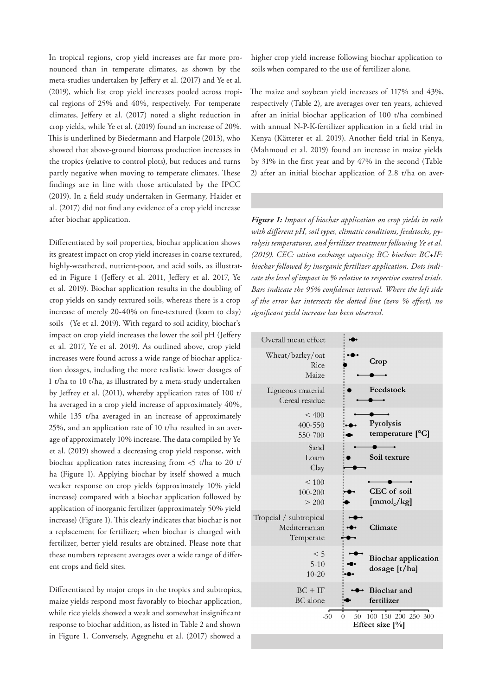In tropical regions, crop yield increases are far more pronounced than in temperate climates, as shown by the meta-studies undertaken by Jeffery et al. (2017) and Ye et al. (2019), which list crop yield increases pooled across tropical regions of 25% and 40%, respectively. For temperate climates, Jeffery et al. (2017) noted a slight reduction in crop yields, while Ye et al. (2019) found an increase of 20%. This is underlined by Biedermann and Harpole (2013), who showed that above-ground biomass production increases in the tropics (relative to control plots), but reduces and turns partly negative when moving to temperate climates. These findings are in line with those articulated by the IPCC (2019). In a field study undertaken in Germany, Haider et al. (2017) did not find any evidence of a crop yield increase after biochar application.

Differentiated by soil properties, biochar application shows its greatest impact on crop yield increases in coarse textured, highly-weathered, nutrient-poor, and acid soils, as illustrated in Figure 1 (Jeffery et al. 2011, Jeffery et al. 2017, Ye et al. 2019). Biochar application results in the doubling of crop yields on sandy textured soils, whereas there is a crop increase of merely 20-40% on fine-textured (loam to clay) soils (Ye et al. 2019). With regard to soil acidity, biochar's impact on crop yield increases the lower the soil pH (Jeffery et al. 2017, Ye et al. 2019). As outlined above, crop yield increases were found across a wide range of biochar application dosages, including the more realistic lower dosages of 1 t/ha to 10 t/ha, as illustrated by a meta-study undertaken by Jeffrey et al. (2011), whereby application rates of 100 t/ ha averaged in a crop yield increase of approximately 40%, while 135 t/ha averaged in an increase of approximately 25%, and an application rate of 10 t/ha resulted in an average of approximately 10% increase. The data compiled by Ye et al. (2019) showed a decreasing crop yield response, with biochar application rates increasing from <5 t/ha to 20 t/ ha (Figure 1). Applying biochar by itself showed a much weaker response on crop yields (approximately 10% yield increase) compared with a biochar application followed by application of inorganic fertilizer (approximately 50% yield increase) (Figure 1). This clearly indicates that biochar is not a replacement for fertilizer; when biochar is charged with fertilizer, better yield results are obtained. Please note that these numbers represent averages over a wide range of different crops and field sites.

Differentiated by major crops in the tropics and subtropics, maize yields respond most favorably to biochar application, while rice yields showed a weak and somewhat insignificant response to biochar addition, as listed in Table 2 and shown in Figure 1. Conversely, Agegnehu et al. (2017) showed a

higher crop yield increase following biochar application to soils when compared to the use of fertilizer alone.

The maize and soybean yield increases of 117% and 43%, respectively (Table 2), are averages over ten years, achieved after an initial biochar application of 100 t/ha combined with annual N-P-K-fertilizer application in a field trial in Kenya (Kätterer et al. 2019). Another field trial in Kenya, (Mahmoud et al. 2019) found an increase in maize yields by 31% in the first year and by 47% in the second (Table 2) after an initial biochar application of 2.8 t/ha on aver-

*Figure 1: Impact of biochar application on crop yields in soils with different pH, soil types, climatic conditions, feedstocks, pyrolysis temperatures, and fertilizer treatment following Ye et al. (2019). CEC: cation exchange capacity; BC: biochar: BC+IF: biochar followed by inorganic fertilizer application. Dots indicate the level of impact in % relative to respective control trials. Bars indicate the 95% confidence interval. Where the left side of the error bar intersects the dotted line (zero % effect), no significant yield increase has been observed.* 

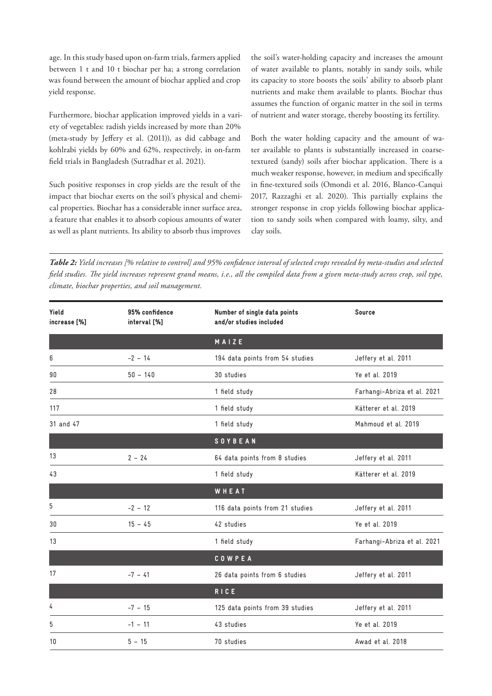age. In this study based upon on-farm trials, farmers applied between 1 t and 10 t biochar per ha; a strong correlation was found between the amount of biochar applied and crop yield response.

Furthermore, biochar application improved yields in a variety of vegetables: radish yields increased by more than 20% (meta-study by Jeffery et al. (2011)), as did cabbage and kohlrabi yields by 60% and 62%, respectively, in on-farm field trials in Bangladesh (Sutradhar et al. 2021).

Such positive responses in crop yields are the result of the impact that biochar exerts on the soil's physical and chemical properties. Biochar has a considerable inner surface area, a feature that enables it to absorb copious amounts of water as well as plant nutrients. Its ability to absorb thus improves

the soil's water-holding capacity and increases the amount of water available to plants, notably in sandy soils, while its capacity to store boosts the soils' ability to absorb plant nutrients and make them available to plants. Biochar thus assumes the function of organic matter in the soil in terms of nutrient and water storage, thereby boosting its fertility.

Both the water holding capacity and the amount of water available to plants is substantially increased in coarsetextured (sandy) soils after biochar application. There is a much weaker response, however, in medium and specifically in fine-textured soils (Omondi et al. 2016, Blanco-Canqui 2017, Razzaghi et al. 2020). This partially explains the stronger response in crop yields following biochar application to sandy soils when compared with loamy, silty, and clay soils.

*Table 2: Yield increases [% relative to control] and 95% confidence interval of selected crops revealed by meta-studies and selected field studies. The yield increases represent grand means, i.e., all the compiled data from a given meta-study across crop, soil type, climate, biochar properties, and soil management.*

| Yield<br>increase [%] | 95% confidence<br>interval [%] | Number of single data points<br>and/or studies included | Source                      |
|-----------------------|--------------------------------|---------------------------------------------------------|-----------------------------|
|                       |                                | MAIZE                                                   |                             |
| 6                     | $-2 - 14$                      | 194 data points from 54 studies                         | Jeffery et al. 2011         |
| 90                    | $50 - 140$                     | 30 studies                                              | Ye et al. 2019              |
| 28                    |                                | 1 field study                                           | Farhangi-Abriza et al. 2021 |
| 117                   |                                | 1 field study                                           | Kätterer et al. 2019        |
| 31 and 47             |                                | 1 field study                                           | Mahmoud et al. 2019         |
|                       |                                | <b>SOYBEAN</b>                                          |                             |
| 13                    | $2 - 24$                       | 64 data points from 8 studies                           | Jeffery et al. 2011         |
| 43                    |                                | 1 field study                                           | Kätterer et al. 2019        |
|                       |                                | WHEAT                                                   |                             |
| 5                     | $-2 - 12$                      | 116 data points from 21 studies                         | Jeffery et al. 2011         |
| 30                    | $15 - 45$                      | 42 studies                                              | Ye et al. 2019              |
| 13                    |                                | 1 field study                                           | Farhangi-Abriza et al. 2021 |
|                       |                                | COWPEA                                                  |                             |
| 17                    | $-7 - 41$                      | 26 data points from 6 studies                           | Jeffery et al. 2011         |
|                       |                                | <b>RICE</b>                                             |                             |
| 4                     | $-7 - 15$                      | 125 data points from 39 studies                         | Jeffery et al. 2011         |
| 5                     | $-1 - 11$                      | 43 studies                                              | Ye et al. 2019              |
| 10                    | $5 - 15$                       | 70 studies                                              | Awad et al. 2018            |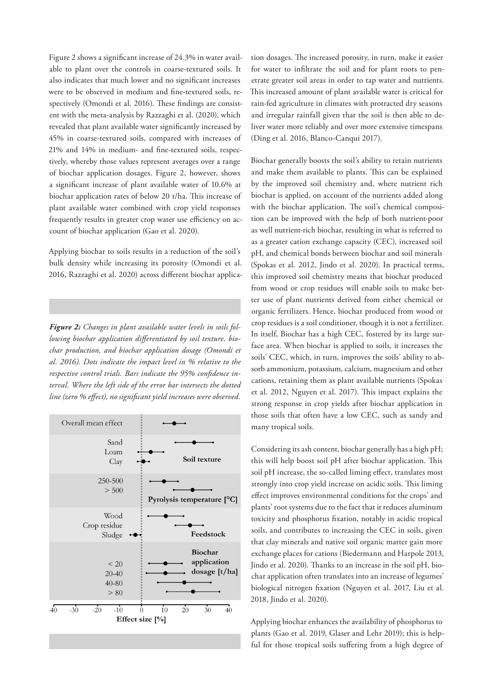Figure 2 shows a significant increase of 24.3% in water available to plant over the controls in coarse-textured soils. It also indicates that much lower and no significant increases were to be observed in medium and fine-textured soils, respectively (Omondi et al. 2016). These findings are consistent with the meta-analysis by Razzaghi et al. (2020), which revealed that plant available water significantly increased by 45% in coarse-textured soils, compared with increases of 21% and 14% in medium- and fine-textured soils, respectively, whereby those values represent averages over a range of biochar application dosages. Figure 2, however, shows a significant increase of plant available water of 10.6% at biochar application rates of below 20 t/ha. This increase of plant available water combined with crop yield responses frequently results in greater crop water use efficiency on account of biochar application (Gao et al. 2020).

Applying biochar to soils results in a reduction of the soil's bulk density while increasing its porosity (Omondi et al. 2016, Razzaghi et al. 2020) across different biochar applica-

*Figure 2: Changes in plant available water levels in soils following biochar application differentiated by soil texture, biochar production, and biochar application dosage (Omondi et al. 2016). Dots indicate the impact level in % relative to the respective control trials. Bars indicate the 95% confidence interval. Where the left side of the error bar intersects the dotted line (zero % effect), no significant yield increases were observed.* 



tion dosages. The increased porosity, in turn, make it easier for water to infiltrate the soil and for plant roots to penetrate greater soil areas in order to tap water and nutrients. This increased amount of plant available water is critical for rain-fed agriculture in climates with protracted dry seasons and irregular rainfall given that the soil is then able to deliver water more reliably and over more extensive timespans (Ding et al. 2016, Blanco-Canqui 2017).

Biochar generally boosts the soil's ability to retain nutrients and make them available to plants. This can be explained by the improved soil chemistry and, where nutrient rich biochar is applied, on account of the nutrients added along with the biochar application. The soil's chemical composition can be improved with the help of both nutrient-poor as well nutrient-rich biochar, resulting in what is referred to as a greater cation exchange capacity (CEC), increased soil pH, and chemical bonds between biochar and soil minerals (Spokas et al. 2012, Jindo et al. 2020). In practical terms, this improved soil chemistry means that biochar produced from wood or crop residues will enable soils to make better use of plant nutrients derived from either chemical or organic fertilizers. Hence, biochar produced from wood or crop residues is a soil conditioner, though it is not a fertilizer. In itself, Biochar has a high CEC, fostered by its large surface area. When biochar is applied to soils, it increases the soils' CEC, which, in turn, improves the soils' ability to absorb ammonium, potassium, calcium, magnesium and other cations, retaining them as plant available nutrients (Spokas et al. 2012, Nguyen et al. 2017). This impact explains the strong response in crop yields after biochar application in those soils that often have a low CEC, such as sandy and many tropical soils.

Considering its ash content, biochar generally has a high pH; this will help boost soil pH after biochar application. This soil pH increase, the so-called liming effect, translates most strongly into crop yield increase on acidic soils. This liming effect improves environmental conditions for the crops' and plants' root systems due to the fact that it reduces aluminum toxicity and phosphorus fixation, notably in acidic tropical soils, and contributes to increasing the CEC in soils, given that clay minerals and native soil organic matter gain more exchange places for cations (Biedermann and Harpole 2013, Jindo et al. 2020). Thanks to an increase in the soil pH, biochar application often translates into an increase of legumes' biological nitrogen fixation (Nguyen et al. 2017, Liu et al. 2018, Jindo et al. 2020).

Applying biochar enhances the availability of phosphorus to plants (Gao et al. 2019, Glaser and Lehr 2019); this is helpful for those tropical soils suffering from a high degree of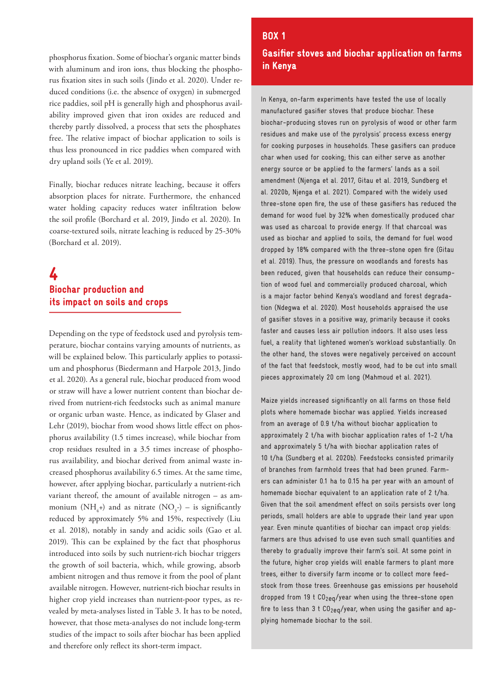phosphorus fixation. Some of biochar's organic matter binds with aluminum and iron ions, thus blocking the phosphorus fixation sites in such soils (Jindo et al. 2020). Under reduced conditions (i.e. the absence of oxygen) in submerged rice paddies, soil pH is generally high and phosphorus availability improved given that iron oxides are reduced and thereby partly dissolved, a process that sets the phosphates free. The relative impact of biochar application to soils is thus less pronounced in rice paddies when compared with dry upland soils (Ye et al. 2019).

Finally, biochar reduces nitrate leaching, because it offers absorption places for nitrate. Furthermore, the enhanced water holding capacity reduces water infiltration below the soil profile (Borchard et al. 2019, Jindo et al. 2020). In coarse-textured soils, nitrate leaching is reduced by 25-30% (Borchard et al. 2019).

### 4 Biochar production and its impact on soils and crops

Depending on the type of feedstock used and pyrolysis temperature, biochar contains varying amounts of nutrients, as will be explained below. This particularly applies to potassium and phosphorus (Biedermann and Harpole 2013, Jindo et al. 2020). As a general rule, biochar produced from wood or straw will have a lower nutrient content than biochar derived from nutrient-rich feedstocks such as animal manure or organic urban waste. Hence, as indicated by Glaser and Lehr (2019), biochar from wood shows little effect on phosphorus availability (1.5 times increase), while biochar from crop residues resulted in a 3.5 times increase of phosphorus availability, and biochar derived from animal waste increased phosphorus availability 6.5 times. At the same time, however, after applying biochar, particularly a nutrient-rich variant thereof, the amount of available nitrogen – as ammonium (NH<sub>4</sub>+) and as nitrate (NO<sub>3</sub>-) – is significantly reduced by approximately 5% and 15%, respectively (Liu et al. 2018), notably in sandy and acidic soils (Gao et al. 2019). This can be explained by the fact that phosphorus introduced into soils by such nutrient-rich biochar triggers the growth of soil bacteria, which, while growing, absorb ambient nitrogen and thus remove it from the pool of plant available nitrogen. However, nutrient-rich biochar results in higher crop yield increases than nutrient-poor types, as revealed by meta-analyses listed in Table 3. It has to be noted, however, that those meta-analyses do not include long-term studies of the impact to soils after biochar has been applied and therefore only reflect its short-term impact.

### Gasifier stoves and biochar application on farms in Kenya

BOX 1

In Kenya, on-farm experiments have tested the use of locally manufactured gasifier stoves that produce biochar. These biochar-producing stoves run on pyrolysis of wood or other farm residues and make use of the pyrolysis' process excess energy for cooking purposes in households. These gasifiers can produce char when used for cooking; this can either serve as another energy source or be applied to the farmers' lands as a soil amendment (Njenga et al. 2017, Gitau et al. 2019, Sundberg et al. 2020b, Njenga et al. 2021). Compared with the widely used three-stone open fire, the use of these gasifiers has reduced the demand for wood fuel by 32% when domestically produced char was used as charcoal to provide energy. If that charcoal was used as biochar and applied to soils, the demand for fuel wood dropped by 18% compared with the three-stone open fire (Gitau et al. 2019). Thus, the pressure on woodlands and forests has been reduced, given that households can reduce their consumption of wood fuel and commercially produced charcoal, which is a major factor behind Kenya's woodland and forest degradation (Ndegwa et al. 2020). Most households appraised the use of gasifier stoves in a positive way, primarily because it cooks faster and causes less air pollution indoors. It also uses less fuel, a reality that lightened women's workload substantially. On the other hand, the stoves were negatively perceived on account of the fact that feedstock, mostly wood, had to be cut into small pieces approximately 20 cm long (Mahmoud et al. 2021).

Maize yields increased significantly on all farms on those field plots where homemade biochar was applied. Yields increased from an average of 0.9 t/ha without biochar application to approximately 2 t/ha with biochar application rates of 1-2 t/ha and approximately 5 t/ha with biochar application rates of 10 t/ha (Sundberg et al. 2020b). Feedstocks consisted primarily of branches from farmhold trees that had been pruned. Farmers can administer 0.1 ha to 0.15 ha per year with an amount of homemade biochar equivalent to an application rate of 2 t/ha. Given that the soil amendment effect on soils persists over long periods, small holders are able to upgrade their land year upon year. Even minute quantities of biochar can impact crop yields: farmers are thus advised to use even such small quantities and thereby to gradually improve their farm's soil. At some point in the future, higher crop yields will enable farmers to plant more trees, either to diversify farm income or to collect more feedstock from those trees. Greenhouse gas emissions per household dropped from 19  $t$  CO<sub>2e0</sub>/year when using the three-stone open fire to less than 3 t  $CO<sub>2ea</sub>/year$ , when using the gasifier and applying homemade biochar to the soil.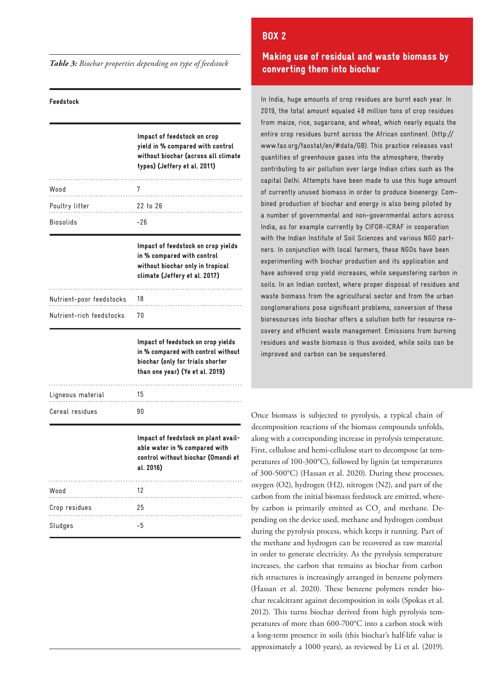*Table 3: Biochar properties depending on type of feedstock*

#### Feedstock

|                          | Impact of feedstock on crop<br>yield in % compared with control<br>without biochar (across all climate<br>types) (Jeffery et al. 2011)          |
|--------------------------|-------------------------------------------------------------------------------------------------------------------------------------------------|
| Wood<br>.                | 7                                                                                                                                               |
| Poultry litter           | 22 to 26                                                                                                                                        |
| Biosolids                | $-26$                                                                                                                                           |
|                          | Impact of feedstock on crop yields<br>in % compared with control<br>without biochar only in tropical<br>climate (Jeffery et al. 2017)           |
| Nutrient-poor feedstocks | 18                                                                                                                                              |
| Nutrient-rich feedstocks | 70                                                                                                                                              |
|                          | Impact of feedstock on crop yields<br>in % compared with control without<br>biochar (only for trials shorter<br>than one year) (Ye et al. 2019) |
| Ligneous material        | 15                                                                                                                                              |
| Cereal residues          | 90                                                                                                                                              |
|                          | Impact of feedstock on plant avail-<br>able water in % compared with<br>control without biochar (Omondi et<br>al. 2016)                         |
| Wood<br>.                | 12                                                                                                                                              |
| Crop residues            | 25                                                                                                                                              |
| Sludges                  |                                                                                                                                                 |

### Making use of residual and waste biomass by converting them into biochar

BOX 2

In India, huge amounts of crop residues are burnt each year. In 2019, the total amount equaled 48 million tons of crop residues from maize, rice, sugarcane, and wheat, which nearly equals the entire crop residues burnt across the African continent. (http:// www.fao.org/faostat/en/#data/GB). This practice releases vast quantities of greenhouse gases into the atmosphere, thereby contributing to air pollution over large Indian cities such as the capital Delhi. Attempts have been made to use this huge amount of currently unused biomass in order to produce bioenergy. Combined production of biochar and energy is also being piloted by a number of governmental and non-governmental actors across India, as for example currently by CIFOR-ICRAF in cooperation with the Indian Institute of Soil Sciences and various NGO partners. In conjunction with local farmers, these NGOs have been experimenting with biochar production and its application and have achieved crop yield increases, while sequestering carbon in soils. In an Indian context, where proper disposal of residues and waste biomass from the agricultural sector and from the urban conglomerations pose significant problems, conversion of these bioresources into biochar offers a solution both for resource recovery and efficient waste management. Emissions from burning residues and waste biomass is thus avoided, while soils can be improved and carbon can be sequestered.

Once biomass is subjected to pyrolysis, a typical chain of decomposition reactions of the biomass compounds unfolds, along with a corresponding increase in pyrolysis temperature. First, cellulose and hemi-cellulose start to decompose (at temperatures of 100-300°C), followed by lignin (at temperatures of 300-500°C) (Hassan et al. 2020). During these processes, oxygen (O2), hydrogen (H2), nitrogen (N2), and part of the carbon from the initial biomass feedstock are emitted, whereby carbon is primarily emitted as  $CO<sub>2</sub>$  and methane. Depending on the device used, methane and hydrogen combust during the pyrolysis process, which keeps it running. Part of the methane and hydrogen can be recovered as raw material in order to generate electricity. As the pyrolysis temperature increases, the carbon that remains as biochar from carbon rich structures is increasingly arranged in benzene polymers (Hassan et al. 2020). These benzene polymers render biochar recalcitrant against decomposition in soils (Spokas et al. 2012). This turns biochar derived from high pyrolysis temperatures of more than 600-700°C into a carbon stock with a long-term presence in soils (this biochar's half-life value is approximately a 1000 years), as reviewed by Li et al. (2019).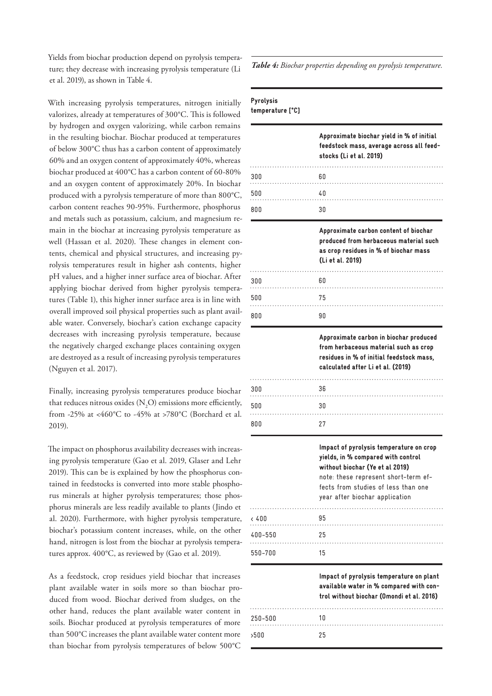Yields from biochar production depend on pyrolysis temperature; they decrease with increasing pyrolysis temperature (Li et al. 2019), as shown in Table 4.

With increasing pyrolysis temperatures, nitrogen initially valorizes, already at temperatures of 300°C. This is followed by hydrogen and oxygen valorizing, while carbon remains in the resulting biochar. Biochar produced at temperatures of below 300°C thus has a carbon content of approximately 60% and an oxygen content of approximately 40%, whereas biochar produced at 400°C has a carbon content of 60-80% and an oxygen content of approximately 20%. In biochar produced with a pyrolysis temperature of more than 800°C, carbon content reaches 90-95%. Furthermore, phosphorus and metals such as potassium, calcium, and magnesium remain in the biochar at increasing pyrolysis temperature as well (Hassan et al. 2020). These changes in element contents, chemical and physical structures, and increasing pyrolysis temperatures result in higher ash contents, higher pH values, and a higher inner surface area of biochar. After applying biochar derived from higher pyrolysis temperatures (Table 1), this higher inner surface area is in line with overall improved soil physical properties such as plant available water. Conversely, biochar's cation exchange capacity decreases with increasing pyrolysis temperature, because the negatively charged exchange places containing oxygen are destroyed as a result of increasing pyrolysis temperatures (Nguyen et al. 2017).

Finally, increasing pyrolysis temperatures produce biochar that reduces nitrous oxides ( $N_2$ O) emissions more efficiently, from -25% at <460°C to -45% at >780°C (Borchard et al. 2019).

The impact on phosphorus availability decreases with increasing pyrolysis temperature (Gao et al. 2019, Glaser and Lehr 2019). This can be is explained by how the phosphorus contained in feedstocks is converted into more stable phosphorus minerals at higher pyrolysis temperatures; those phosphorus minerals are less readily available to plants (Jindo et al. 2020). Furthermore, with higher pyrolysis temperature, biochar's potassium content increases, while, on the other hand, nitrogen is lost from the biochar at pyrolysis temperatures approx. 400°C, as reviewed by (Gao et al. 2019).

As a feedstock, crop residues yield biochar that increases plant available water in soils more so than biochar produced from wood. Biochar derived from sludges, on the other hand, reduces the plant available water content in soils. Biochar produced at pyrolysis temperatures of more than 500°C increases the plant available water content more than biochar from pyrolysis temperatures of below 500°C

>500

25

*Table 4: Biochar properties depending on pyrolysis temperature.*

| Pyrolysis        |  |
|------------------|--|
| temperature [°C] |  |

|          | Approximate biochar yield in % of initial<br>feedstock mass, average across all feed-<br>stocks (Li et al. 2019)                                                                                                                  |
|----------|-----------------------------------------------------------------------------------------------------------------------------------------------------------------------------------------------------------------------------------|
| 300<br>. | 60                                                                                                                                                                                                                                |
| 500      | 40<br>. <b>.</b>                                                                                                                                                                                                                  |
| 800      | 30                                                                                                                                                                                                                                |
|          | Approximate carbon content of biochar<br>produced from herbaceous material such<br>as crop residues in % of biochar mass<br>(Li et al. 2019)                                                                                      |
| 300      | 60                                                                                                                                                                                                                                |
| 500      | 75                                                                                                                                                                                                                                |
| 800      | 90                                                                                                                                                                                                                                |
|          | Approximate carbon in biochar produced<br>from herbaceous material such as crop<br>residues in % of initial feedstock mass,<br>calculated after Li et al. (2019)                                                                  |
| 300      | 36                                                                                                                                                                                                                                |
| 500      | 30                                                                                                                                                                                                                                |
| 800      | 27                                                                                                                                                                                                                                |
|          | Impact of pyrolysis temperature on crop<br>yields, in % compared with control<br>without biochar (Ye et al 2019)<br>note: these represent short-term ef-<br>fects from studies of less than one<br>year after biochar application |
| < 400    | 95                                                                                                                                                                                                                                |
| 400-550  | 25                                                                                                                                                                                                                                |
| 550-700  | 15                                                                                                                                                                                                                                |
|          | Impact of pyrolysis temperature on plant<br>available water in % compared with con-<br>trol without biochar (Omondi et al. 2016)                                                                                                  |
| 250-500  | 10                                                                                                                                                                                                                                |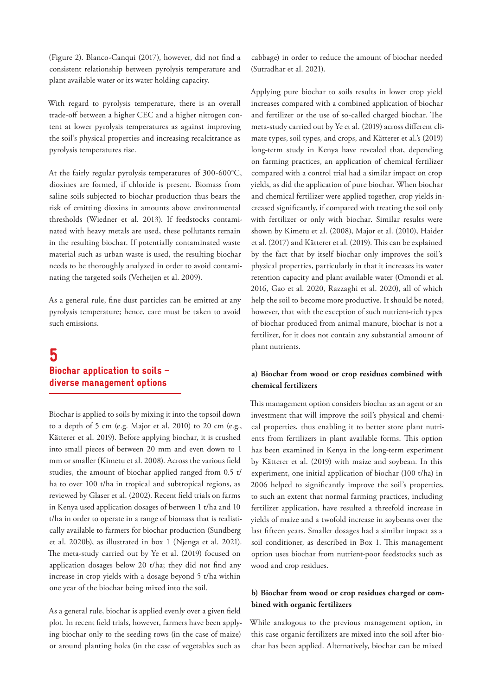(Figure 2). Blanco-Canqui (2017), however, did not find a consistent relationship between pyrolysis temperature and plant available water or its water holding capacity.

With regard to pyrolysis temperature, there is an overall trade-off between a higher CEC and a higher nitrogen content at lower pyrolysis temperatures as against improving the soil's physical properties and increasing recalcitrance as pyrolysis temperatures rise.

At the fairly regular pyrolysis temperatures of 300-600°C, dioxines are formed, if chloride is present. Biomass from saline soils subjected to biochar production thus bears the risk of emitting dioxins in amounts above environmental thresholds (Wiedner et al. 2013). If feedstocks contaminated with heavy metals are used, these pollutants remain in the resulting biochar. If potentially contaminated waste material such as urban waste is used, the resulting biochar needs to be thoroughly analyzed in order to avoid contaminating the targeted soils (Verheijen et al. 2009).

As a general rule, fine dust particles can be emitted at any pyrolysis temperature; hence, care must be taken to avoid such emissions.

## 5 Biochar application to soils – diverse management options

Biochar is applied to soils by mixing it into the topsoil down to a depth of 5 cm (e.g. Major et al. 2010) to 20 cm (e.g., Kätterer et al. 2019). Before applying biochar, it is crushed into small pieces of between 20 mm and even down to 1 mm or smaller (Kimetu et al. 2008). Across the various field studies, the amount of biochar applied ranged from 0.5 t/ ha to over 100 t/ha in tropical and subtropical regions, as reviewed by Glaser et al. (2002). Recent field trials on farms in Kenya used application dosages of between 1 t/ha and 10 t/ha in order to operate in a range of biomass that is realistically available to farmers for biochar production (Sundberg et al. 2020b), as illustrated in box 1 (Njenga et al. 2021). The meta-study carried out by Ye et al. (2019) focused on application dosages below 20 t/ha; they did not find any increase in crop yields with a dosage beyond 5 t/ha within one year of the biochar being mixed into the soil.

As a general rule, biochar is applied evenly over a given field plot. In recent field trials, however, farmers have been applying biochar only to the seeding rows (in the case of maize) or around planting holes (in the case of vegetables such as

cabbage) in order to reduce the amount of biochar needed (Sutradhar et al. 2021).

Applying pure biochar to soils results in lower crop yield increases compared with a combined application of biochar and fertilizer or the use of so-called charged biochar. The meta-study carried out by Ye et al. (2019) across different climate types, soil types, and crops, and Kätterer et al.'s (2019) long-term study in Kenya have revealed that, depending on farming practices, an application of chemical fertilizer compared with a control trial had a similar impact on crop yields, as did the application of pure biochar. When biochar and chemical fertilizer were applied together, crop yields increased significantly, if compared with treating the soil only with fertilizer or only with biochar. Similar results were shown by Kimetu et al. (2008), Major et al. (2010), Haider et al. (2017) and Kätterer et al. (2019). This can be explained by the fact that by itself biochar only improves the soil's physical properties, particularly in that it increases its water retention capacity and plant available water (Omondi et al. 2016, Gao et al. 2020, Razzaghi et al. 2020), all of which help the soil to become more productive. It should be noted, however, that with the exception of such nutrient-rich types of biochar produced from animal manure, biochar is not a fertilizer, for it does not contain any substantial amount of plant nutrients.

### **a) Biochar from wood or crop residues combined with chemical fertilizers**

This management option considers biochar as an agent or an investment that will improve the soil's physical and chemical properties, thus enabling it to better store plant nutrients from fertilizers in plant available forms. This option has been examined in Kenya in the long-term experiment by Kätterer et al. (2019) with maize and soybean. In this experiment, one initial application of biochar (100 t/ha) in 2006 helped to significantly improve the soil's properties, to such an extent that normal farming practices, including fertilizer application, have resulted a threefold increase in yields of maize and a twofold increase in soybeans over the last fifteen years. Smaller dosages had a similar impact as a soil conditioner, as described in Box 1. This management option uses biochar from nutrient-poor feedstocks such as wood and crop residues.

### **b) Biochar from wood or crop residues charged or combined with organic fertilizers**

While analogous to the previous management option, in this case organic fertilizers are mixed into the soil after biochar has been applied. Alternatively, biochar can be mixed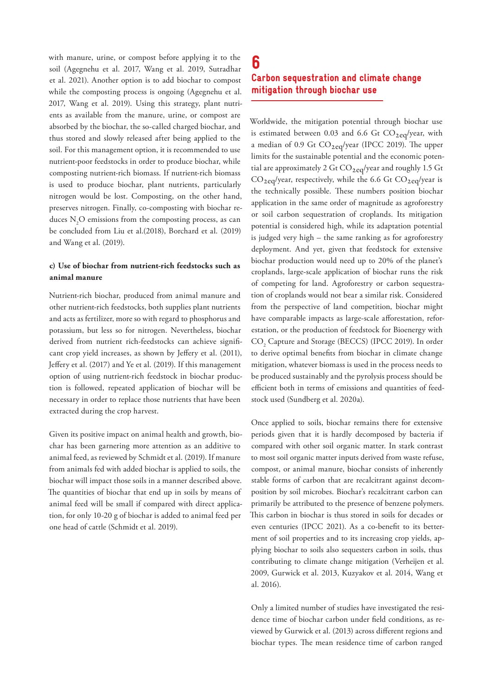with manure, urine, or compost before applying it to the soil (Agegnehu et al. 2017, Wang et al. 2019, Sutradhar et al. 2021). Another option is to add biochar to compost while the composting process is ongoing (Agegnehu et al. 2017, Wang et al. 2019). Using this strategy, plant nutrients as available from the manure, urine, or compost are absorbed by the biochar, the so-called charged biochar, and thus stored and slowly released after being applied to the soil. For this management option, it is recommended to use nutrient-poor feedstocks in order to produce biochar, while composting nutrient-rich biomass. If nutrient-rich biomass is used to produce biochar, plant nutrients, particularly nitrogen would be lost. Composting, on the other hand, preserves nitrogen. Finally, co-composting with biochar reduces  $N_2O$  emissions from the composting process, as can be concluded from Liu et al.(2018), Borchard et al. (2019) and Wang et al. (2019).

### **c) Use of biochar from nutrient-rich feedstocks such as animal manure**

Nutrient-rich biochar, produced from animal manure and other nutrient-rich feedstocks, both supplies plant nutrients and acts as fertilizer, more so with regard to phosphorus and potassium, but less so for nitrogen. Nevertheless, biochar derived from nutrient rich-feedstocks can achieve significant crop yield increases, as shown by Jeffery et al. (2011), Jeffery et al. (2017) and Ye et al. (2019). If this management option of using nutrient-rich feedstock in biochar production is followed, repeated application of biochar will be necessary in order to replace those nutrients that have been extracted during the crop harvest.

Given its positive impact on animal health and growth, biochar has been garnering more attention as an additive to animal feed, as reviewed by Schmidt et al. (2019). If manure from animals fed with added biochar is applied to soils, the biochar will impact those soils in a manner described above. The quantities of biochar that end up in soils by means of animal feed will be small if compared with direct application, for only 10-20 g of biochar is added to animal feed per one head of cattle (Schmidt et al. 2019).

### 6 Carbon sequestration and climate change mitigation through biochar use

Worldwide, the mitigation potential through biochar use is estimated between 0.03 and 6.6 Gt  $CO<sub>2eq</sub>/year$ , with a median of 0.9 Gt  $CO<sub>2</sub>eq/year$  (IPCC 2019). The upper limits for the sustainable potential and the economic potential are approximately 2 Gt  $CO_{2eq}/year$  and roughly 1.5 Gt  $CO<sub>2eq</sub>/year$ , respectively, while the 6.6 Gt  $CO<sub>2eq</sub>/year$  is the technically possible. These numbers position biochar application in the same order of magnitude as agroforestry or soil carbon sequestration of croplands. Its mitigation potential is considered high, while its adaptation potential is judged very high – the same ranking as for agroforestry deployment. And yet, given that feedstock for extensive biochar production would need up to 20% of the planet's croplands, large-scale application of biochar runs the risk of competing for land. Agroforestry or carbon sequestration of croplands would not bear a similar risk. Considered from the perspective of land competition, biochar might have comparable impacts as large-scale afforestation, reforestation, or the production of feedstock for Bioenergy with CO<sub>2</sub> Capture and Storage (BECCS) (IPCC 2019). In order to derive optimal benefits from biochar in climate change mitigation, whatever biomass is used in the process needs to be produced sustainably and the pyrolysis process should be efficient both in terms of emissions and quantities of feedstock used (Sundberg et al. 2020a).

Once applied to soils, biochar remains there for extensive periods given that it is hardly decomposed by bacteria if compared with other soil organic matter. In stark contrast to most soil organic matter inputs derived from waste refuse, compost, or animal manure, biochar consists of inherently stable forms of carbon that are recalcitrant against decomposition by soil microbes. Biochar's recalcitrant carbon can primarily be attributed to the presence of benzene polymers. This carbon in biochar is thus stored in soils for decades or even centuries (IPCC 2021). As a co-benefit to its betterment of soil properties and to its increasing crop yields, applying biochar to soils also sequesters carbon in soils, thus contributing to climate change mitigation (Verheijen et al. 2009, Gurwick et al. 2013, Kuzyakov et al. 2014, Wang et al. 2016).

Only a limited number of studies have investigated the residence time of biochar carbon under field conditions, as reviewed by Gurwick et al. (2013) across different regions and biochar types. The mean residence time of carbon ranged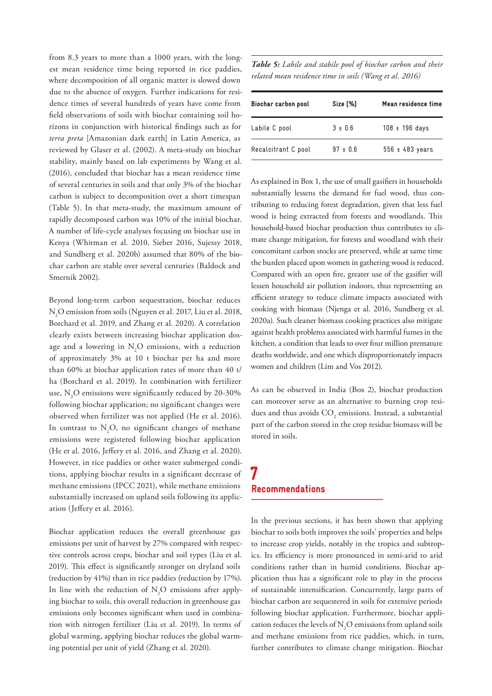from 8.3 years to more than a 1000 years, with the longest mean residence time being reported in rice paddies, where decomposition of all organic matter is slowed down due to the absence of oxygen. Further indications for residence times of several hundreds of years have come from field observations of soils with biochar containing soil horizons in conjunction with historical findings such as for *terra preta* [Amazonian dark earth] in Latin America, as reviewed by Glaser et al. (2002). A meta-study on biochar stability, mainly based on lab experiments by Wang et al. (2016), concluded that biochar has a mean residence time of several centuries in soils and that only 3% of the biochar carbon is subject to decomposition over a short timespan (Table 5). In that meta-study, the maximum amount of rapidly decomposed carbon was 10% of the initial biochar. A number of life-cycle analyses focusing on biochar use in Kenya (Whitman et al. 2010, Sieber 2016, Sujessy 2018, and Sundberg et al. 2020b) assumed that 80% of the biochar carbon are stable over several centuries (Baldock and Smernik 2002).

Beyond long-term carbon sequestration, biochar reduces  $\rm N\rm _2O$  emission from soils (Nguyen et al. 2017, Liu et al. 2018, Borchard et al. 2019, and Zhang et al. 2020). A correlation clearly exists between increasing biochar application dosage and a lowering in  $N_2O$  emissions, with a reduction of approximately 3% at 10 t biochar per ha and more than 60% at biochar application rates of more than 40 t/ ha (Borchard et al. 2019). In combination with fertilizer use,  $\rm N_2O$  emissions were significantly reduced by 20-30% following biochar application; no significant changes were observed when fertilizer was not applied (He et al. 2016). In contrast to  $N_2O$ , no significant changes of methane emissions were registered following biochar application (He et al. 2016, Jeffery et al. 2016, and Zhang et al. 2020). However, in rice paddies or other water submerged conditions, applying biochar results in a significant decrease of methane emissions (IPCC 2021), while methane emissions substantially increased on upland soils following its application (Jeffery et al. 2016).

Biochar application reduces the overall greenhouse gas emissions per unit of harvest by 27% compared with respective controls across crops, biochar and soil types (Liu et al. 2019). This effect is significantly stronger on dryland soils (reduction by 41%) than in rice paddies (reduction by 17%). In line with the reduction of  $N_2O$  emissions after applying biochar to soils, this overall reduction in greenhouse gas emissions only becomes significant when used in combination with nitrogen fertilizer (Liu et al. 2019). In terms of global warming, applying biochar reduces the global warming potential per unit of yield (Zhang et al. 2020).

*Table 5: Labile and stabile pool of biochar carbon and their related mean residence time in soils (Wang et al. 2016)*

| <b>Biochar carbon pool</b> | Size [%]   | Mean residence time |
|----------------------------|------------|---------------------|
| Labile C pool              | $3 + 0.6$  | $108 \pm 196$ days  |
| Recalcitrant C pool        | $97 + 0.6$ | $556 \pm 483$ years |

As explained in Box 1, the use of small gasifiers in households substantially lessens the demand for fuel wood, thus contributing to reducing forest degradation, given that less fuel wood is being extracted from forests and woodlands. This household-based biochar production thus contributes to climate change mitigation, for forests and woodland with their concomitant carbon stocks are preserved, while at same time the burden placed upon women in gathering wood is reduced. Compared with an open fire, greater use of the gasifier will lessen household air pollution indoors, thus representing an efficient strategy to reduce climate impacts associated with cooking with biomass (Njenga et al. 2016, Sundberg et al. 2020a). Such cleaner biomass cooking practices also mitigate against health problems associated with harmful fumes in the kitchen, a condition that leads to over four million premature deaths worldwide, and one which disproportionately impacts women and children (Lim and Vos 2012).

As can be observed in India (Box 2), biochar production can moreover serve as an alternative to burning crop residues and thus avoids  $\mathrm{CO}_2$  emissions. Instead, a substantial part of the carbon stored in the crop residue biomass will be stored in soils.

### 7 Recommendations

In the previous sections, it has been shown that applying biochar to soils both improves the soils' properties and helps to increase crop yields, notably in the tropics and subtropics. Its efficiency is more pronounced in semi-arid to arid conditions rather than in humid conditions. Biochar application thus has a significant role to play in the process of sustainable intensification. Concurrently, large parts of biochar carbon are sequestered in soils for extensive periods following biochar application. Furthermore, biochar application reduces the levels of  $N_2O$  emissions from upland soils and methane emissions from rice paddies, which, in turn, further contributes to climate change mitigation. Biochar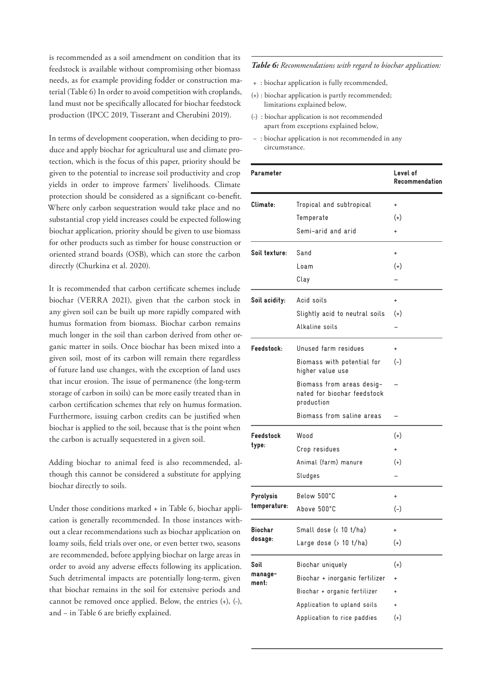is recommended as a soil amendment on condition that its feedstock is available without compromising other biomass needs, as for example providing fodder or construction material (Table 6) In order to avoid competition with croplands, land must not be specifically allocated for biochar feedstock production (IPCC 2019, Tisserant and Cherubini 2019).

In terms of development cooperation, when deciding to produce and apply biochar for agricultural use and climate protection, which is the focus of this paper, priority should be given to the potential to increase soil productivity and crop yields in order to improve farmers' livelihoods. Climate protection should be considered as a significant co-benefit. Where only carbon sequestration would take place and no substantial crop yield increases could be expected following biochar application, priority should be given to use biomass for other products such as timber for house construction or oriented strand boards (OSB), which can store the carbon directly (Churkina et al. 2020).

It is recommended that carbon certificate schemes include biochar (VERRA 2021), given that the carbon stock in any given soil can be built up more rapidly compared with humus formation from biomass. Biochar carbon remains much longer in the soil than carbon derived from other organic matter in soils. Once biochar has been mixed into a given soil, most of its carbon will remain there regardless of future land use changes, with the exception of land uses that incur erosion. The issue of permanence (the long-term storage of carbon in soils) can be more easily treated than in carbon certification schemes that rely on humus formation. Furthermore, issuing carbon credits can be justified when biochar is applied to the soil, because that is the point when the carbon is actually sequestered in a given soil.

Adding biochar to animal feed is also recommended, although this cannot be considered a substitute for applying biochar directly to soils.

Under those conditions marked + in Table 6, biochar application is generally recommended. In those instances without a clear recommendations such as biochar application on loamy soils, field trials over one, or even better two, seasons are recommended, before applying biochar on large areas in order to avoid any adverse effects following its application. Such detrimental impacts are potentially long-term, given that biochar remains in the soil for extensive periods and cannot be removed once applied. Below, the entries (+), (-), and − in Table 6 are briefly explained.

#### *Table 6: Recommendations with regard to biochar application:*

- + : biochar application is fully recommended,
- (+) : biochar application is partly recommended; limitations explained below,
- (-) : biochar application is not recommended apart from exceptions explained below,
- − : biochar application is not recommended in any circumstance.

| Parameter        |                                                                        | Level of<br>Recommendation |
|------------------|------------------------------------------------------------------------|----------------------------|
| Climate:         | Tropical and subtropical                                               | ÷                          |
|                  | Temperate                                                              | $(+)$                      |
|                  | Semi-arid and arid                                                     |                            |
| Soil texture:    | Sand                                                                   | $\ddot{}$                  |
|                  | Loam                                                                   | $(+)$                      |
|                  | Clay                                                                   |                            |
| Soil acidity:    | Acid soils                                                             | $\ddot{}$                  |
|                  | Slightly acid to neutral soils                                         | $(+)$                      |
|                  | Alkaline soils                                                         |                            |
| Feedstock:       | Unused farm residues                                                   | +                          |
|                  | Biomass with potential for<br>higher value use                         | $(-)$                      |
|                  | Biomass from areas desig-<br>nated for biochar feedstock<br>production |                            |
|                  | Biomass from saline areas                                              |                            |
| Feedstock        | Wood                                                                   | $^{(+)}$                   |
| type:            | Crop residues                                                          |                            |
|                  | Animal (farm) manure                                                   | $(+)$                      |
|                  | Sludges                                                                |                            |
| Pyrolysis        | Below 500°C                                                            | $\ddot{}$                  |
| temperature:     | Above 500°C                                                            | $(-)$                      |
| Biochar          | Small dose (< 10 t/ha)                                                 |                            |
| dosage:          | Large dose $($ 10 $t/ha)$                                              | $^{(+)}$                   |
| Soil             | Biochar uniquely                                                       | $^{(+)}$                   |
| manage-<br>ment: | Biochar + inorganic fertilizer                                         | +                          |
|                  | Biochar + organic fertilizer                                           | ÷                          |
|                  | Application to upland soils                                            | +                          |
|                  | Application to rice paddies                                            | $(+)$                      |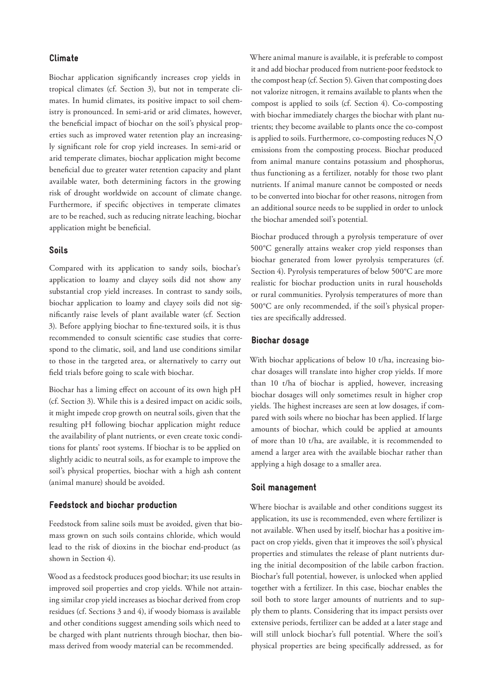### Climate

Biochar application significantly increases crop yields in tropical climates (cf. Section 3), but not in temperate climates. In humid climates, its positive impact to soil chemistry is pronounced. In semi-arid or arid climates, however, the beneficial impact of biochar on the soil's physical properties such as improved water retention play an increasingly significant role for crop yield increases. In semi-arid or arid temperate climates, biochar application might become beneficial due to greater water retention capacity and plant available water, both determining factors in the growing risk of drought worldwide on account of climate change. Furthermore, if specific objectives in temperate climates are to be reached, such as reducing nitrate leaching, biochar application might be beneficial.

### Soils

Compared with its application to sandy soils, biochar's application to loamy and clayey soils did not show any substantial crop yield increases. In contrast to sandy soils, biochar application to loamy and clayey soils did not significantly raise levels of plant available water (cf. Section 3). Before applying biochar to fine-textured soils, it is thus recommended to consult scientific case studies that correspond to the climatic, soil, and land use conditions similar to those in the targeted area, or alternatively to carry out field trials before going to scale with biochar.

Biochar has a liming effect on account of its own high pH (cf. Section 3). While this is a desired impact on acidic soils, it might impede crop growth on neutral soils, given that the resulting pH following biochar application might reduce the availability of plant nutrients, or even create toxic conditions for plants' root systems. If biochar is to be applied on slightly acidic to neutral soils, as for example to improve the soil's physical properties, biochar with a high ash content (animal manure) should be avoided.

#### Feedstock and biochar production

Feedstock from saline soils must be avoided, given that biomass grown on such soils contains chloride, which would lead to the risk of dioxins in the biochar end-product (as shown in Section 4).

Wood as a feedstock produces good biochar; its use results in improved soil properties and crop yields. While not attaining similar crop yield increases as biochar derived from crop residues (cf. Sections 3 and 4), if woody biomass is available and other conditions suggest amending soils which need to be charged with plant nutrients through biochar, then biomass derived from woody material can be recommended.

Where animal manure is available, it is preferable to compost it and add biochar produced from nutrient-poor feedstock to the compost heap (cf. Section 5). Given that composting does not valorize nitrogen, it remains available to plants when the compost is applied to soils (cf. Section 4). Co-composting with biochar immediately charges the biochar with plant nutrients; they become available to plants once the co-compost is applied to soils. Furthermore, co-composting reduces  $\mathrm{N}_2\mathrm{O}$ emissions from the composting process. Biochar produced from animal manure contains potassium and phosphorus, thus functioning as a fertilizer, notably for those two plant nutrients. If animal manure cannot be composted or needs to be converted into biochar for other reasons, nitrogen from an additional source needs to be supplied in order to unlock the biochar amended soil's potential.

Biochar produced through a pyrolysis temperature of over 500°C generally attains weaker crop yield responses than biochar generated from lower pyrolysis temperatures (cf. Section 4). Pyrolysis temperatures of below 500°C are more realistic for biochar production units in rural households or rural communities. Pyrolysis temperatures of more than 500°C are only recommended, if the soil's physical properties are specifically addressed.

#### Biochar dosage

With biochar applications of below 10 t/ha, increasing biochar dosages will translate into higher crop yields. If more than 10 t/ha of biochar is applied, however, increasing biochar dosages will only sometimes result in higher crop yields. The highest increases are seen at low dosages, if compared with soils where no biochar has been applied. If large amounts of biochar, which could be applied at amounts of more than 10 t/ha, are available, it is recommended to amend a larger area with the available biochar rather than applying a high dosage to a smaller area.

#### Soil management

Where biochar is available and other conditions suggest its application, its use is recommended, even where fertilizer is not available. When used by itself, biochar has a positive impact on crop yields, given that it improves the soil's physical properties and stimulates the release of plant nutrients during the initial decomposition of the labile carbon fraction. Biochar's full potential, however, is unlocked when applied together with a fertilizer. In this case, biochar enables the soil both to store larger amounts of nutrients and to supply them to plants. Considering that its impact persists over extensive periods, fertilizer can be added at a later stage and will still unlock biochar's full potential. Where the soil's physical properties are being specifically addressed, as for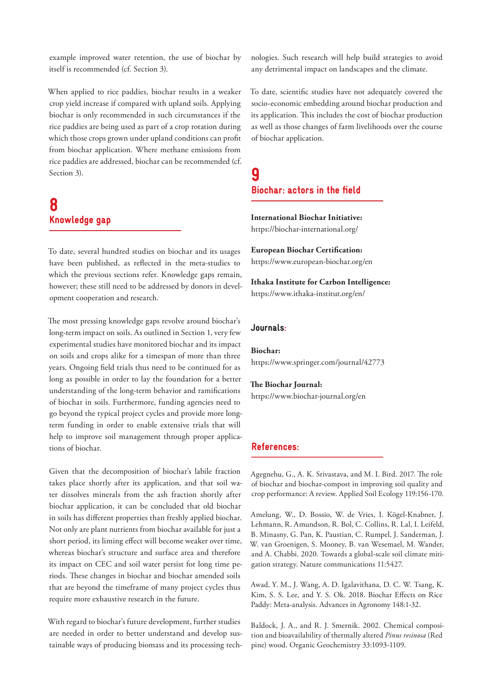example improved water retention, the use of biochar by itself is recommended (cf. Section 3).

When applied to rice paddies, biochar results in a weaker crop yield increase if compared with upland soils. Applying biochar is only recommended in such circumstances if the rice paddies are being used as part of a crop rotation during which those crops grown under upland conditions can profit from biochar application. Where methane emissions from rice paddies are addressed, biochar can be recommended (cf. Section 3).

# 8 Knowledge gap

To date, several hundred studies on biochar and its usages have been published, as reflected in the meta-studies to which the previous sections refer. Knowledge gaps remain, however; these still need to be addressed by donors in development cooperation and research.

The most pressing knowledge gaps revolve around biochar's long-term impact on soils. As outlined in Section 1, very few experimental studies have monitored biochar and its impact on soils and crops alike for a timespan of more than three years. Ongoing field trials thus need to be continued for as long as possible in order to lay the foundation for a better understanding of the long-term behavior and ramifications of biochar in soils. Furthermore, funding agencies need to go beyond the typical project cycles and provide more longterm funding in order to enable extensive trials that will help to improve soil management through proper applications of biochar.

Given that the decomposition of biochar's labile fraction takes place shortly after its application, and that soil water dissolves minerals from the ash fraction shortly after biochar application, it can be concluded that old biochar in soils has different properties than freshly applied biochar. Not only are plant nutrients from biochar available for just a short period, its liming effect will become weaker over time, whereas biochar's structure and surface area and therefore its impact on CEC and soil water persist for long time periods. These changes in biochar and biochar amended soils that are beyond the timeframe of many project cycles thus require more exhaustive research in the future.

With regard to biochar's future development, further studies are needed in order to better understand and develop sustainable ways of producing biomass and its processing technologies. Such research will help build strategies to avoid any detrimental impact on landscapes and the climate.

To date, scientific studies have not adequately covered the socio-economic embedding around biochar production and its application. This includes the cost of biochar production as well as those changes of farm livelihoods over the course of biochar application.

### 9 Biochar: actors in the field

**International Biochar Initiative:**  https://biochar-international.org/

**European Biochar Certification:**  https://www.european-biochar.org/en

**Ithaka Institute for Carbon Intelligence:**  https://www.ithaka-institut.org/en/

### Journals:

**Biochar:**  https://www.springer.com/journal/42773

**The Biochar Journal:**  https://www.biochar-journal.org/en

### References:

Agegnehu, G., A. K. Srivastava, and M. I. Bird. 2017. The role of biochar and biochar-compost in improving soil quality and crop performance: A review. Applied Soil Ecology 119:156-170.

Amelung, W., D. Bossio, W. de Vries, I. Kögel-Knabner, J. Lehmann, R. Amundson, R. Bol, C. Collins, R. Lal, I. Leifeld, B. Minasny, G. Pan, K. Paustian, C. Rumpel, J. Sanderman, J. W. van Groenigen, S. Mooney, B. van Wesemael, M. Wander, and A. Chabbi. 2020. Towards a global-scale soil climate mitigation strategy. Nature communications 11:5427.

Awad, Y. M., J. Wang, A. D. Igalavithana, D. C. W. Tsang, K. Kim, S. S. Lee, and Y. S. Ok. 2018. Biochar Effects on Rice Paddy: Meta-analysis. Advances in Agronomy 148:1-32.

Baldock, J. A., and R. J. Smernik. 2002. Chemical composition and bioavailability of thermally altered *Pinus resinosa* (Red pine) wood. Organic Geochemistry 33:1093-1109.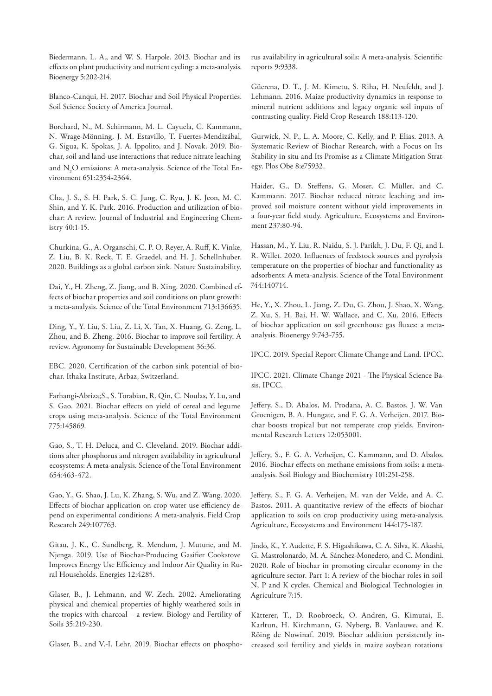Biedermann, L. A., and W. S. Harpole. 2013. Biochar and its effects on plant productivity and nutrient cycling: a meta-analysis. Bioenergy 5:202-214.

Blanco-Canqui, H. 2017. Biochar and Soil Physical Properties. Soil Science Society of America Journal.

Borchard, N., M. Schirmann, M. L. Cayuela, C. Kammann, N. Wrage-Mönning, J. M. Estavillo, T. Fuertes-Mendizábal, G. Sigua, K. Spokas, J. A. Ippolito, and J. Novak. 2019. Biochar, soil and land-use interactions that reduce nitrate leaching and  $\rm N_2O$  emissions: A meta-analysis. Science of the Total Environment 651:2354-2364.

Cha, J. S., S. H. Park, S. C. Jung, C. Ryu, J. K. Jeon, M. C. Shin, and Y. K. Park. 2016. Production and utilization of biochar: A review. Journal of Industrial and Engineering Chemistry 40:1-15.

Churkina, G., A. Organschi, C. P. O. Reyer, A. Ruff, K. Vinke, Z. Liu, B. K. Reck, T. E. Graedel, and H. J. Schellnhuber. 2020. Buildings as a global carbon sink. Nature Sustainability.

Dai, Y., H. Zheng, Z. Jiang, and B. Xing. 2020. Combined effects of biochar properties and soil conditions on plant growth: a meta-analysis. Science of the Total Environment 713:136635.

Ding, Y., Y. Liu, S. Liu, Z. Li, X. Tan, X. Huang, G. Zeng, L. Zhou, and B. Zheng. 2016. Biochar to improve soil fertility. A review. Agronomy for Sustainable Development 36:36.

EBC. 2020. Certification of the carbon sink potential of biochar. Ithaka Institute, Arbaz, Switzerland.

Farhangi-Abriza;S., S. Torabian, R. Qin, C. Noulas, Y. Lu, and S. Gao. 2021. Biochar effects on yield of cereal and legume crops using meta-analysis. Science of the Total Environment 775:145869.

Gao, S., T. H. Deluca, and C. Cleveland. 2019. Biochar additions alter phosphorus and nitrogen availability in agricultural ecosystems: A meta-analysis. Science of the Total Environment 654:463-472.

Gao, Y., G. Shao, J. Lu, K. Zhang, S. Wu, and Z. Wang. 2020. Effects of biochar application on crop water use efficiency depend on experimental conditions: A meta-analysis. Field Crop Research 249:107763.

Gitau, J. K., C. Sundberg, R. Mendum, J. Mutune, and M. Njenga. 2019. Use of Biochar-Producing Gasifier Cookstove Improves Energy Use Efficiency and Indoor Air Quality in Rural Households. Energies 12:4285.

Glaser, B., J. Lehmann, and W. Zech. 2002. Ameliorating physical and chemical properties of highly weathered soils in the tropics with charcoal – a review. Biology and Fertility of Soils 35:219-230.

Glaser, B., and V.-I. Lehr. 2019. Biochar effects on phospho-

rus availability in agricultural soils: A meta-analysis. Scientific reports 9:9338.

Güerena, D. T., J. M. Kimetu, S. Riha, H. Neufeldt, and J. Lehmann. 2016. Maize productivity dynamics in response to mineral nutrient additions and legacy organic soil inputs of contrasting quality. Field Crop Research 188:113-120.

Gurwick, N. P., L. A. Moore, C. Kelly, and P. Elias. 2013. A Systematic Review of Biochar Research, with a Focus on Its Stability in situ and Its Promise as a Climate Mitigation Strategy. Plos Obe 8:e75932.

Haider, G., D. Steffens, G. Moser, C. Müller, and C. Kammann. 2017. Biochar reduced nitrate leaching and improved soil moisture content without yield improvements in a four-year field study. Agriculture, Ecosystems and Environment 237:80-94.

Hassan, M., Y. Liu, R. Naidu, S. J. Parikh, J. Du, F. Qi, and I. R. Willet. 2020. Influences of feedstock sources and pyrolysis temperature on the properties of biochar and functionality as adsorbents: A meta-analysis. Science of the Total Environment 744:140714.

He, Y., X. Zhou, L. Jiang, Z. Du, G. Zhou, J. Shao, X. Wang, Z. Xu, S. H. Bai, H. W. Wallace, and C. Xu. 2016. Effects of biochar application on soil greenhouse gas fluxes: a metaanalysis. Bioenergy 9:743-755.

IPCC. 2019. Special Report Climate Change and Land. IPCC.

IPCC. 2021. Climate Change 2021 - The Physical Science Basis. IPCC.

Jeffery, S., D. Abalos, M. Prodana, A. C. Bastos, J. W. Van Groenigen, B. A. Hungate, and F. G. A. Verheijen. 2017. Biochar boosts tropical but not temperate crop yields. Environmental Research Letters 12:053001.

Jeffery, S., F. G. A. Verheijen, C. Kammann, and D. Abalos. 2016. Biochar effects on methane emissions from soils: a metaanalysis. Soil Biology and Biochemistry 101:251-258.

Jeffery, S., F. G. A. Verheijen, M. van der Velde, and A. C. Bastos. 2011. A quantitative review of the effects of biochar application to soils on crop productivity using meta-analysis. Agriculture, Ecosystems and Environment 144:175-187.

Jindo, K., Y. Audette, F. S. Higashikawa, C. A. Silva, K. Akashi, G. Mastrolonardo, M. A. Sánchez-Monedero, and C. Mondini. 2020. Role of biochar in promoting circular economy in the agriculture sector. Part 1: A review of the biochar roles in soil N, P and K cycles. Chemical and Biological Technologies in Agriculture 7:15.

Kätterer, T., D. Roobroeck, O. Andren, G. Kimutai, E. Karltun, H. Kirchmann, G. Nyberg, B. Vanlauwe, and K. Röing de Nowinaf. 2019. Biochar addition persistently increased soil fertility and yields in maize soybean rotations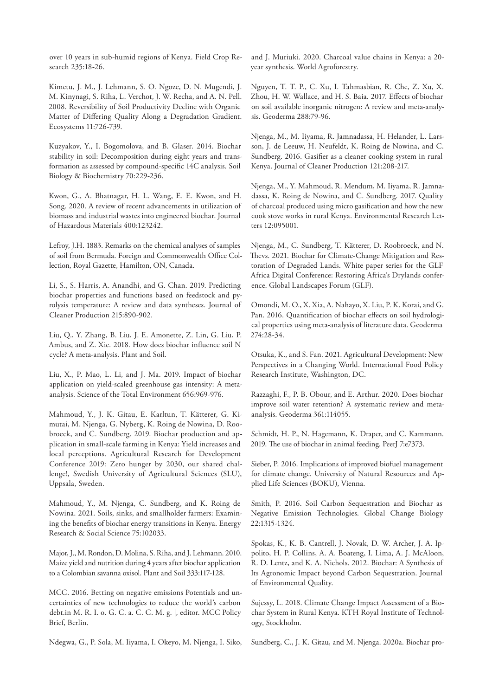over 10 years in sub-humid regions of Kenya. Field Crop Research 235:18-26.

Kimetu, J. M., J. Lehmann, S. O. Ngoze, D. N. Mugendi, J. M. Kinynagi, S. Riha, L. Verchot, J. W. Recha, and A. N. Pell. 2008. Reversibility of Soil Productivity Decline with Organic Matter of Differing Quality Along a Degradation Gradient. Ecosystems 11:726-739.

Kuzyakov, Y., I. Bogomolova, and B. Glaser. 2014. Biochar stability in soil: Decomposition during eight years and transformation as assessed by compound-specific 14C analysis. Soil Biology & Biochemistry 70:229-236.

Kwon, G., A. Bhatnagar, H. L. Wang, E. E. Kwon, and H. Song. 2020. A review of recent advancements in utilization of biomass and industrial wastes into engineered biochar. Journal of Hazardous Materials 400:123242.

Lefroy, J.H. 1883. Remarks on the chemical analyses of samples of soil from Bermuda. Foreign and Commonwealth Office Collection, Royal Gazette, Hamilton, ON, Canada.

Li, S., S. Harris, A. Anandhi, and G. Chan. 2019. Predicting biochar properties and functions based on feedstock and pyrolysis temperature: A review and data syntheses. Journal of Cleaner Production 215:890-902.

Liu, Q., Y. Zhang, B. Liu, J. E. Amonette, Z. Lin, G. Liu, P. Ambus, and Z. Xie. 2018. How does biochar influence soil N cycle? A meta-analysis. Plant and Soil.

Liu, X., P. Mao, L. Li, and J. Ma. 2019. Impact of biochar application on yield-scaled greenhouse gas intensity: A metaanalysis. Science of the Total Environment 656:969-976.

Mahmoud, Y., J. K. Gitau, E. Karltun, T. Kätterer, G. Kimutai, M. Njenga, G. Nyberg, K. Roing de Nowina, D. Roobroeck, and C. Sundberg. 2019. Biochar production and application in small-scale farming in Kenya: Yield increases and local perceptions. Agricultural Research for Development Conference 2019: Zero hunger by 2030, our shared challenge!, Swedish University of Agricultural Sciences (SLU), Uppsala, Sweden.

Mahmoud, Y., M. Njenga, C. Sundberg, and K. Roing de Nowina. 2021. Soils, sinks, and smallholder farmers: Examining the benefits of biochar energy transitions in Kenya. Energy Research & Social Science 75:102033.

Major, J., M. Rondon, D. Molina, S. Riha, and J. Lehmann. 2010. Maize yield and nutrition during 4 years after biochar application to a Colombian savanna oxisol. Plant and Soil 333:117-128.

MCC. 2016. Betting on negative emissions Potentials and uncertainties of new technologies to reduce the world's carbon debt.in M. R. I. o. G. C. a. C. C. M. g. |, editor. MCC Policy Brief, Berlin.

Ndegwa, G., P. Sola, M. Iiyama, I. Okeyo, M. Njenga, I. Siko,

and J. Muriuki. 2020. Charcoal value chains in Kenya: a 20 year synthesis. World Agroforestry.

Nguyen, T. T. P., C. Xu, I. Tahmasbian, R. Che, Z. Xu, X. Zhou, H. W. Wallace, and H. S. Baia. 2017. Effects of biochar on soil available inorganic nitrogen: A review and meta-analysis. Geoderma 288:79-96.

Njenga, M., M. Iiyama, R. Jamnadassa, H. Helander, L. Larsson, J. de Leeuw, H. Neufeldt, K. Roing de Nowina, and C. Sundberg. 2016. Gasifier as a cleaner cooking system in rural Kenya. Journal of Cleaner Production 121:208-217.

Njenga, M., Y. Mahmoud, R. Mendum, M. Iiyama, R. Jamnadassa, K. Roing de Nowina, and C. Sundberg. 2017. Quality of charcoal produced using micro gasification and how the new cook stove works in rural Kenya. Environmental Research Letters 12:095001.

Njenga, M., C. Sundberg, T. Kätterer, D. Roobroeck, and N. Thevs. 2021. Biochar for Climate-Change Mitigation and Restoration of Degraded Lands. White paper series for the GLF Africa Digital Conference: Restoring Africa's Drylands conference. Global Landscapes Forum (GLF).

Omondi, M. O., X. Xia, A. Nahayo, X. Liu, P. K. Korai, and G. Pan. 2016. Quantification of biochar effects on soil hydrological properties using meta-analysis of literature data. Geoderma 274:28-34.

Otsuka, K., and S. Fan. 2021. Agricultural Development: New Perspectives in a Changing World. International Food Policy Research Institute, Washington, DC.

Razzaghi, F., P. B. Obour, and E. Arthur. 2020. Does biochar improve soil water retention? A systematic review and metaanalysis. Geoderma 361:114055.

Schmidt, H. P., N. Hagemann, K. Draper, and C. Kammann. 2019. The use of biochar in animal feeding. PeerJ 7:e7373.

Sieber, P. 2016. Implications of improved biofuel management for climate change. University of Natural Resources and Applied Life Sciences (BOKU), Vienna.

Smith, P. 2016. Soil Carbon Sequestration and Biochar as Negative Emission Technologies. Global Change Biology 22:1315-1324.

Spokas, K., K. B. Cantrell, J. Novak, D. W. Archer, J. A. Ippolito, H. P. Collins, A. A. Boateng, I. Lima, A. J. McAloon, R. D. Lentz, and K. A. Nichols. 2012. Biochar: A Synthesis of Its Agronomic Impact beyond Carbon Sequestration. Journal of Environmental Quality.

Sujessy, L. 2018. Climate Change Impact Assessment of a Biochar System in Rural Kenya. KTH Royal Institute of Technology, Stockholm.

Sundberg, C., J. K. Gitau, and M. Njenga. 2020a. Biochar pro-